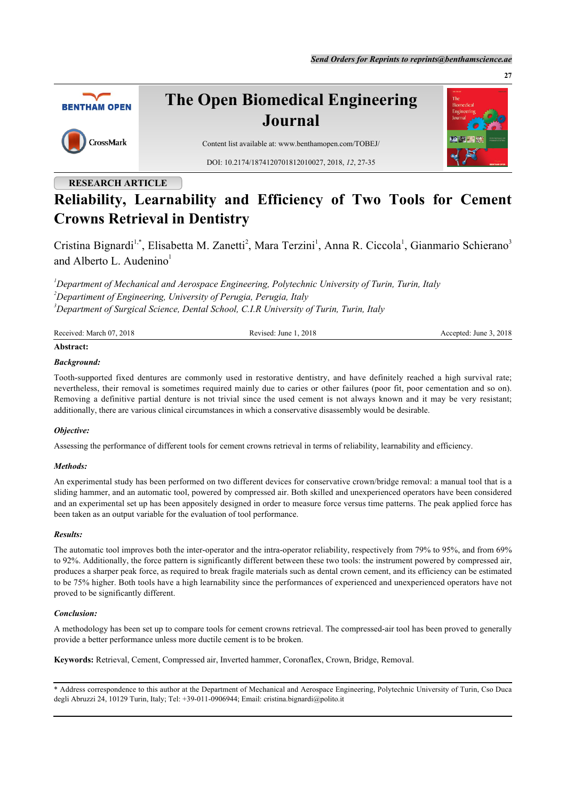

# **The Open Biomedical Engineering Journal**



Content list available at: [www.benthamopen.com/TOBEJ/](http://www.benthamopen.com/TOBEJ/) DOI: [10.2174/1874120701812010027](http://dx.doi.org/10.2174/1874120701812010027), 2018, *12*, 27-35

## **RESEARCH ARTICLE**

# **Reliability, Learnability and Efficiency of Two Tools for Cement Crowns Retrieval in Dentistry**

Cristina Bignardi<sup>[1](#page-0-0),[\\*](#page-0-1)</sup>, Elisabetta M. Zanetti<sup>[2](#page-0-2)</sup>, Mara Terzini<sup>1</sup>, Anna R. Ciccola<sup>1</sup>, Gianmario Schierano<sup>[3](#page-0-3)</sup> and Alberto L. Audenino<sup>[1](#page-0-0)</sup>

<span id="page-0-2"></span><span id="page-0-0"></span>*<sup>1</sup>Department of Mechanical and Aerospace Engineering, Polytechnic University of Turin, Turin, Italy <sup>2</sup>Departiment of Engineering, University of Perugia, Perugia, Italy <sup>3</sup>Department of Surgical Science, Dental School, C.I.R University of Turin, Turin, Italy*

<span id="page-0-3"></span>

| Received: March 07, 2018 | Revised: June 1, 2018 | Accepted: June 3, 2018 |
|--------------------------|-----------------------|------------------------|
| Abstract:                |                       |                        |

## *Background:*

Tooth-supported fixed dentures are commonly used in restorative dentistry, and have definitely reached a high survival rate; nevertheless, their removal is sometimes required mainly due to caries or other failures (poor fit, poor cementation and so on). Removing a definitive partial denture is not trivial since the used cement is not always known and it may be very resistant; additionally, there are various clinical circumstances in which a conservative disassembly would be desirable.

## *Objective:*

Assessing the performance of different tools for cement crowns retrieval in terms of reliability, learnability and efficiency.

## *Methods:*

An experimental study has been performed on two different devices for conservative crown/bridge removal: a manual tool that is a sliding hammer, and an automatic tool, powered by compressed air. Both skilled and unexperienced operators have been considered and an experimental set up has been appositely designed in order to measure force versus time patterns. The peak applied force has been taken as an output variable for the evaluation of tool performance.

## *Results:*

The automatic tool improves both the inter-operator and the intra-operator reliability, respectively from 79% to 95%, and from 69% to 92%. Additionally, the force pattern is significantly different between these two tools: the instrument powered by compressed air, produces a sharper peak force, as required to break fragile materials such as dental crown cement, and its efficiency can be estimated to be 75% higher. Both tools have a high learnability since the performances of experienced and unexperienced operators have not proved to be significantly different.

## *Conclusion:*

A methodology has been set up to compare tools for cement crowns retrieval. The compressed-air tool has been proved to generally provide a better performance unless more ductile cement is to be broken.

**Keywords:** Retrieval, Cement, Compressed air, Inverted hammer, Coronaflex, Crown, Bridge, Removal.

<span id="page-0-1"></span>\* Address correspondence to this author at the Department of Mechanical and Aerospace Engineering, Polytechnic University of Turin, Cso Duca degli Abruzzi 24, 10129 Turin, Italy; Tel: +39-011-0906944; Email: [cristina.bignardi@polito.it](mailto:cristina.bignardi@polito.it)

**27**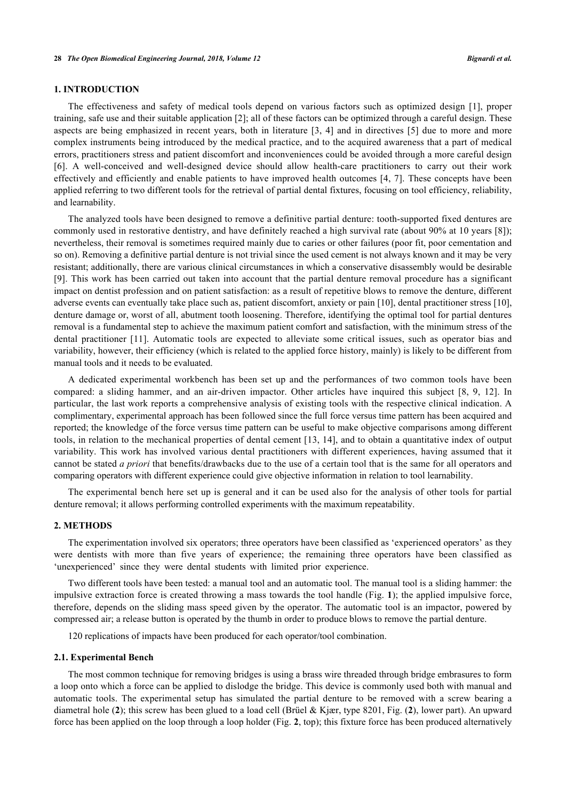## **1. INTRODUCTION**

The effectiveness and safety of medical tools depend on various factors such as optimized design[[1\]](#page-7-0), proper training, safe use and their suitable application [\[2](#page-8-0)]; all of these factors can be optimized through a careful design. These aspects are being emphasized in recent years, both in literature [[3](#page-8-1), [4\]](#page-8-2) and in directives [[5](#page-8-3)] due to more and more complex instruments being introduced by the medical practice, and to the acquired awareness that a part of medical errors, practitioners stress and patient discomfort and inconveniences could be avoided through a more careful design [\[6](#page-8-4)]. A well-conceived and well-designed device should allow health-care practitioners to carry out their work effectively and efficiently and enable patients to have improved health outcomes [[4,](#page-8-2) [7\]](#page-8-5). These concepts have been applied referring to two different tools for the retrieval of partial dental fixtures, focusing on tool efficiency, reliability, and learnability.

The analyzed tools have been designed to remove a definitive partial denture: tooth-supported fixed dentures are commonly used in restorative dentistry, and have definitely reached a high survival rate (about 90% at 10 years [[8\]](#page-8-6)); nevertheless, their removal is sometimes required mainly due to caries or other failures (poor fit, poor cementation and so on). Removing a definitive partial denture is not trivial since the used cement is not always known and it may be very resistant; additionally, there are various clinical circumstances in which a conservative disassembly would be desirable [\[9](#page-8-7)]. This work has been carried out taken into account that the partial denture removal procedure has a significant impact on dentist profession and on patient satisfaction: as a result of repetitive blows to remove the denture, different adverse events can eventually take place such as, patient discomfort, anxiety or pain [\[10](#page-8-8)], dental practitioner stress [[10\]](#page-8-8), denture damage or, worst of all, abutment tooth loosening. Therefore, identifying the optimal tool for partial dentures removal is a fundamental step to achieve the maximum patient comfort and satisfaction, with the minimum stress of the dental practitioner[[11\]](#page-8-9). Automatic tools are expected to alleviate some critical issues, such as operator bias and variability, however, their efficiency (which is related to the applied force history, mainly) is likely to be different from manual tools and it needs to be evaluated.

A dedicated experimental workbench has been set up and the performances of two common tools have been compared: a sliding hammer, and an air-driven impactor. Other articles have inquired this subject[[8,](#page-8-6) [9,](#page-8-7) [12\]](#page-8-10). In particular, the last work reports a comprehensive analysis of existing tools with the respective clinical indication. A complimentary, experimental approach has been followed since the full force versus time pattern has been acquired and reported; the knowledge of the force versus time pattern can be useful to make objective comparisons among different tools, in relation to the mechanical properties of dental cement [[13,](#page-8-11) [14\]](#page-8-12), and to obtain a quantitative index of output variability. This work has involved various dental practitioners with different experiences, having assumed that it cannot be stated *a priori* that benefits/drawbacks due to the use of a certain tool that is the same for all operators and comparing operators with different experience could give objective information in relation to tool learnability.

The experimental bench here set up is general and it can be used also for the analysis of other tools for partial denture removal; it allows performing controlled experiments with the maximum repeatability.

## **2. METHODS**

The experimentation involved six operators; three operators have been classified as 'experienced operators' as they were dentists with more than five years of experience; the remaining three operators have been classified as 'unexperienced' since they were dental students with limited prior experience.

Two different tools have been tested: a manual tool and an automatic tool. The manual tool is a sliding hammer: the impulsive extraction force is created throwing a mass towards the tool handle (Fig. **[1](#page-2-0)**); the applied impulsive force, therefore, depends on the sliding mass speed given by the operator. The automatic tool is an impactor, powered by compressed air; a release button is operated by the thumb in order to produce blows to remove the partial denture.

120 replications of impacts have been produced for each operator/tool combination.

#### **2.1. Experimental Bench**

The most common technique for removing bridges is using a brass wire threaded through bridge embrasures to form a loop onto which a force can be applied to dislodge the bridge. This device is commonly used both with manual and automatic tools. The experimental setup has simulated the partial denture to be removed with a screw bearing a diametral hole (**[2](#page-2-1)**); this screw has been glued to a load cell (Brüel & Kjær, type 8201, Fig. (**[2](#page-2-1)**), lower part). An upward force has been applied on the loop through a loop holder (Fig. **[2](#page-2-1)**, top); this fixture force has been produced alternatively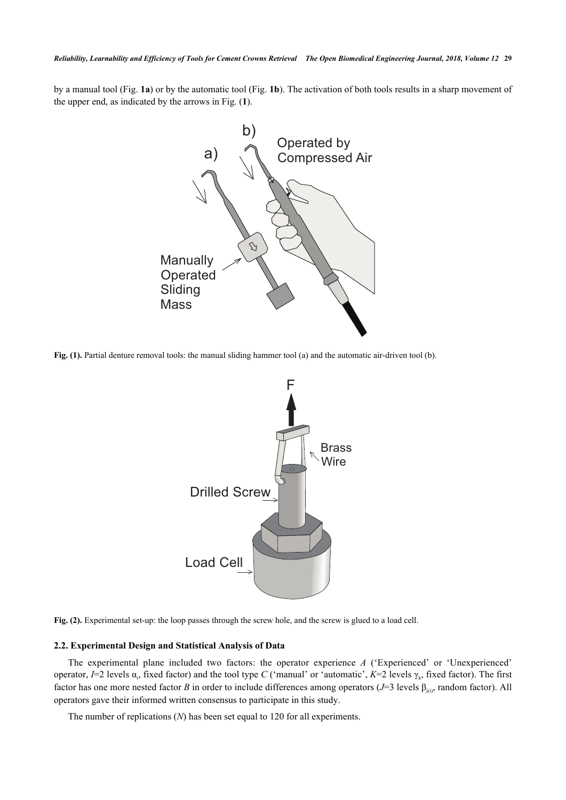<span id="page-2-0"></span>by a manual tool (Fig. **[1a](#page-2-0)**) or by the automatic tool (Fig. **[1b](#page-2-0)**). The activation of both tools results in a sharp movement of the upper end, as indicated by the arrows in Fig. (**[1](#page-2-0)**).



<span id="page-2-1"></span>**Fig. (1).** Partial denture removal tools: the manual sliding hammer tool (a) and the automatic air-driven tool (b).



**Fig. (2).** Experimental set-up: the loop passes through the screw hole, and the screw is glued to a load cell.

## **2.2. Experimental Design and Statistical Analysis of Data**

The experimental plane included two factors: the operator experience *A* ('Experienced' or 'Unexperienced' operator,  $I=2$  levels  $\alpha_i$ , fixed factor) and the tool type *C* ('manual' or 'automatic',  $K=2$  levels  $\gamma_k$ , fixed factor). The first factor has one more nested factor *B* in order to include differences among operators ( $J=3$  levels  $\beta_{\text{lin}}$ , random factor). All operators gave their informed written consensus to participate in this study.

The number of replications (*N*) has been set equal to 120 for all experiments.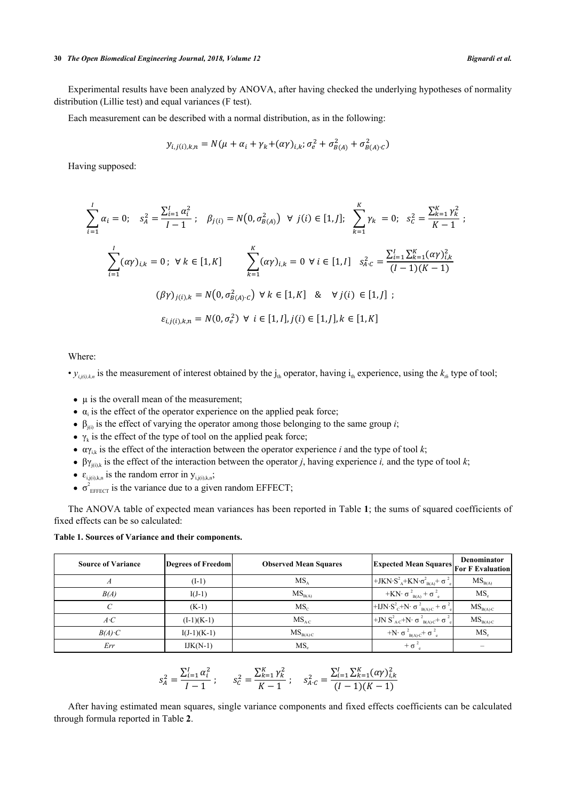#### **30** *The Open Biomedical Engineering Journal, 2018, Volume 12 Bignardi et al.*

Experimental results have been analyzed by ANOVA, after having checked the underlying hypotheses of normality distribution (Lillie test) and equal variances (F test).

Each measurement can be described with a normal distribution, as in the following:

$$
y_{i,j(i),k,n} = N(\mu + \alpha_i + \gamma_k + (\alpha \gamma)_{i,k}; \sigma_e^2 + \sigma_{B(A)}^2 + \sigma_{B(A) \cdot C}^2)
$$

Having supposed:

$$
\sum_{i=1}^{I} \alpha_{i} = 0; \quad s_{A}^{2} = \frac{\sum_{i=1}^{I} \alpha_{i}^{2}}{I-1}; \quad \beta_{j(i)} = N(0, \sigma_{B(A)}^{2}) \quad \forall \ j(i) \in [1, J]; \quad \sum_{k=1}^{K} \gamma_{k} = 0; \quad s_{C}^{2} = \frac{\sum_{k=1}^{K} \gamma_{k}^{2}}{K-1};
$$
\n
$$
\sum_{i=1}^{I} (\alpha \gamma)_{i,k} = 0; \quad \forall \ k \in [1, K] \quad \sum_{k=1}^{K} (\alpha \gamma)_{i,k} = 0 \quad \forall \ i \in [1, I] \quad s_{A:C}^{2} = \frac{\sum_{i=1}^{I} \sum_{k=1}^{K} (\alpha \gamma)_{i,k}^{2}}{(I-1)(K-1)}
$$
\n
$$
(\beta \gamma)_{j(i),k} = N(0, \sigma_{B(A)\cdot C}^{2}) \quad \forall \ k \in [1, K] \quad \& \quad \forall \ j(i) \in [1, J];
$$
\n
$$
\varepsilon_{i,j(i),k,n} = N(0, \sigma_{e}^{2}) \quad \forall \ i \in [1, I], j(i) \in [1, J], k \in [1, K]
$$

Where:

•  $y_{i,j(i),k,n}$  is the measurement of interest obtained by the  $j_{th}$  operator, having  $i_{th}$  experience, using the  $k_{th}$  type of tool;

- $\bullet$   $\mu$  is the overall mean of the measurement;
- $\alpha_i$  is the effect of the operator experience on the applied peak force;
- $\beta_{i(i)}$  is the effect of varying the operator among those belonging to the same group *i*;
- $\gamma_k$  is the effect of the type of tool on the applied peak force;
- $\alpha \gamma_{ik}$  is the effect of the interaction between the operator experience *i* and the type of tool *k*;
- βγ<sub>i $0$ k</sub> is the effect of the interaction between the operator *j*, having experience *i*, and the type of tool *k*;
- $\varepsilon_{i,j(i),k,n}$  is the random error in  $y_{i,j(i),k,n}$ ;
- $\sigma_{\text{effECT}}^2$  is the variance due to a given random EFFECT;

The ANOVA table of expected mean variances has been reported in Table **[1](#page-3-0)**; the sums of squared coefficients of fixed effects can be so calculated:

<span id="page-3-0"></span>**Table 1. Sources of Variance and their components.**

| <b>Source of Variance</b> | Degrees of Freedom | <b>Observed Mean Squares</b> | <b>Expected Mean Squares For F Evaluation</b>                                                                     | <b>Denominator</b>  |
|---------------------------|--------------------|------------------------------|-------------------------------------------------------------------------------------------------------------------|---------------------|
|                           | $(I-1)$            | MS <sub>A</sub>              | +JKN·S <sup>2</sup> <sub>A</sub> +KN· $\sigma_{BA}^2$ + $\sigma_{BA}^2$                                           | $MS_{B(A)}$         |
| B(A)                      | $I(J-1)$           | $MS_{B(A)}$                  | $+KN\cdot \sigma^2_{BA} + \sigma^2_{e}$                                                                           | MS <sub>e</sub>     |
|                           | $(K-1)$            | MS <sub>c</sub>              | +IJN·S <sup>2</sup> <sub>C</sub> +N· $\sigma$ <sup>2</sup> <sub>B(A)·C</sub> + $\sigma$ <sup>2</sup> <sub>e</sub> | $MS_{B(A) \cdot C}$ |
| $A \cdot C$               | $(I-1)(K-1)$       | $MS_{AC}$                    | +JN $S^2_{A:C}$ +N· $\sigma^2_{B(A)C}$ + $\sigma^2_{e}$                                                           | $MS_{B(A) \cdot C}$ |
| $B(A)$ C                  | $I(J-1)(K-1)$      | $MS_{B(A) \cdot C}$          | $+N \cdot \sigma_{B(A) \cdot C}^2 + \sigma_{e}^2$                                                                 | MS <sub>e</sub>     |
| Err                       | $IJK(N-1)$         | MS,                          | $+ \sigma$ <sup>2</sup>                                                                                           |                     |

$$
s_A^2 = \frac{\sum_{i=1}^I \alpha_i^2}{I-1} \; ; \qquad s_C^2 = \frac{\sum_{k=1}^K \gamma_k^2}{K-1} \; ; \qquad s_{A:C}^2 = \frac{\sum_{i=1}^I \sum_{k=1}^K (\alpha \gamma)_{i,k}^2}{(I-1)(K-1)}
$$

<span id="page-3-1"></span>After having estimated mean squares, single variance components and fixed effects coefficients can be calculated through formula reported in Table **[2](#page-3-1)**.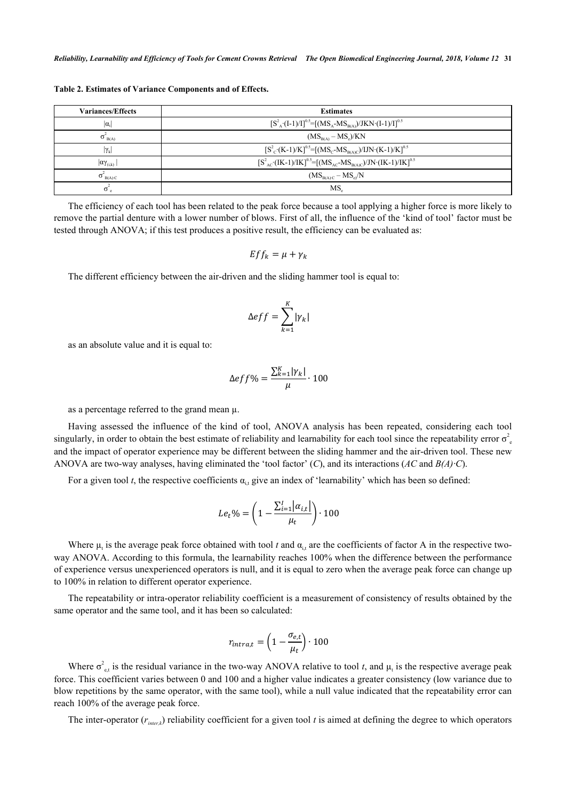| <b>Variances/Effects</b>           | <b>Estimates</b>                                                                                              |
|------------------------------------|---------------------------------------------------------------------------------------------------------------|
| $ \alpha_i $                       | $[S^2_A \cdot (I-1)/I]^{0.5} = [(MS_A - MS_{B(A)})/JKN \cdot (I-1)/I]^{0.5}$                                  |
| $\sigma$ <sub>B(A)</sub>           | $(MSB(A) - MSe)/KN$                                                                                           |
| $ \gamma_{\rm k} $                 | $[S^2_C(K-1)/K]$ <sup>0.5</sup> =[(MS <sub>C</sub> -MS <sub>B(A)C</sub> )/IJN·(K-1)/K] <sup>0.5</sup>         |
| $ \alpha\gamma_{\rm (i,k)}\rangle$ | $[S^2_{AC} (IK-1)/IK]$ <sup>0.5</sup> =[(MS <sub>AC</sub> -MS <sub>B(A)C</sub> )/JN·(IK-1)/IK] <sup>0.5</sup> |
| $\sigma$ <sub>B(A)</sub> $\rm_{C}$ | $(MS_{B(A) \cdot C} - MS_{e})/N$                                                                              |
| $\sigma^*$                         | MS.                                                                                                           |

**Table 2. Estimates of Variance Components and of Effects.**

The efficiency of each tool has been related to the peak force because a tool applying a higher force is more likely to remove the partial denture with a lower number of blows. First of all, the influence of the 'kind of tool' factor must be tested through ANOVA; if this test produces a positive result, the efficiency can be evaluated as:

$$
Eff_k = \mu + \gamma_k
$$

The different efficiency between the air-driven and the sliding hammer tool is equal to:

$$
\Delta eff = \sum_{k=1}^{K} |\gamma_k|
$$

as an absolute value and it is equal to:

$$
\Delta eff\% = \frac{\sum_{k=1}^{K} |\gamma_k|}{\mu} \cdot 100
$$

as a percentage referred to the grand mean µ.

Having assessed the influence of the kind of tool, ANOVA analysis has been repeated, considering each tool singularly, in order to obtain the best estimate of reliability and learnability for each tool since the repeatability error  $\sigma_e^2$ and the impact of operator experience may be different between the sliding hammer and the air-driven tool. These new ANOVA are two-way analyses, having eliminated the 'tool factor' (*C*), and its interactions (*AC* and *B(A)·C*).

For a given tool *t*, the respective coefficients  $\alpha_{i,t}$  give an index of 'learnability' which has been so defined:

$$
Le_t\% = \left(1 - \frac{\sum_{i=1}^{I} |\alpha_{i,t}|}{\mu_t}\right) \cdot 100
$$

Where  $\mu_t$  is the average peak force obtained with tool *t* and  $\alpha_{i,t}$  are the coefficients of factor A in the respective twoway ANOVA. According to this formula, the learnability reaches 100% when the difference between the performance of experience versus unexperienced operators is null, and it is equal to zero when the average peak force can change up to 100% in relation to different operator experience.

The repeatability or intra-operator reliability coefficient is a measurement of consistency of results obtained by the same operator and the same tool, and it has been so calculated:

$$
r_{intra,t} = \left(1 - \frac{\sigma_{e,t}}{\mu_t}\right) \cdot 100
$$

Where  $\sigma_{\text{e,t}}^2$  is the residual variance in the two-way ANOVA relative to tool *t*, and  $\mu_t$  is the respective average peak force. This coefficient varies between 0 and 100 and a higher value indicates a greater consistency (low variance due to blow repetitions by the same operator, with the same tool), while a null value indicated that the repeatability error can reach 100% of the average peak force.

The inter-operator  $(r_{\text{inter},k})$  reliability coefficient for a given tool  $t$  is aimed at defining the degree to which operators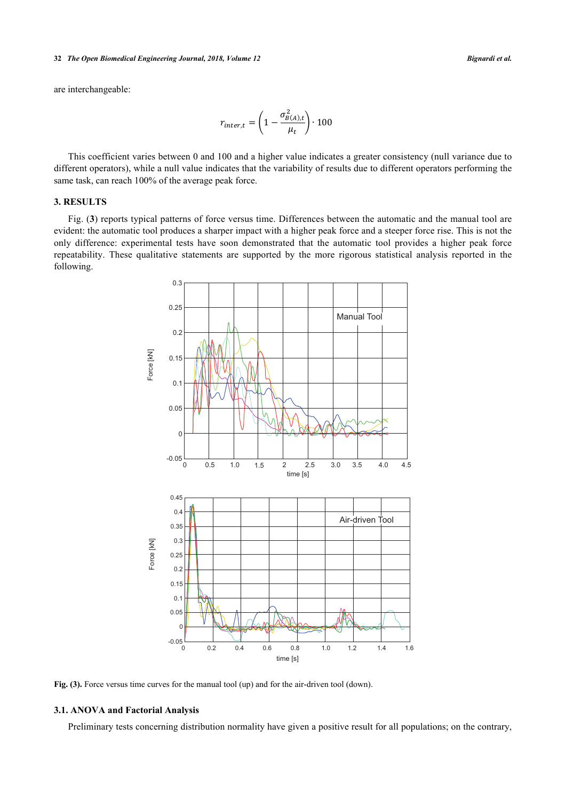#### **32** *The Open Biomedical Engineering Journal, 2018, Volume 12 Bignardi et al.*

are interchangeable:

$$
r_{inter,t} = \left(1 - \frac{\sigma_{B(A),t}^2}{\mu_t}\right) \cdot 100
$$

This coefficient varies between 0 and 100 and a higher value indicates a greater consistency (null variance due to different operators), while a null value indicates that the variability of results due to different operators performing the same task, can reach 100% of the average peak force.

## **3. RESULTS**

<span id="page-5-0"></span>Fig. (**[3](#page-5-0)**) reports typical patterns of force versus time. Differences between the automatic and the manual tool are evident: the automatic tool produces a sharper impact with a higher peak force and a steeper force rise. This is not the only difference: experimental tests have soon demonstrated that the automatic tool provides a higher peak force repeatability. These qualitative statements are supported by the more rigorous statistical analysis reported in the following.



Fig. (3). Force versus time curves for the manual tool (up) and for the air-driven tool (down).

#### **3.1. ANOVA and Factorial Analysis**

Preliminary tests concerning distribution normality have given a positive result for all populations; on the contrary,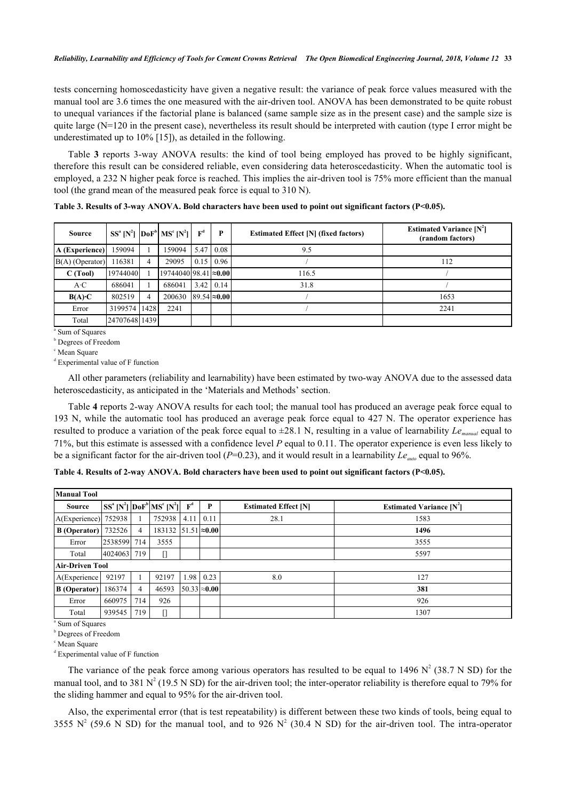tests concerning homoscedasticity have given a negative result: the variance of peak force values measured with the manual tool are 3.6 times the one measured with the air-driven tool. ANOVA has been demonstrated to be quite robust to unequal variances if the factorial plane is balanced (same sample size as in the present case) and the sample size is quite large  $(N=120$  in the present case), nevertheless its result should be interpreted with caution (type I error might be underestimated up to 10% [\[15](#page-8-13)]), as detailed in the following.

Table**3** reports 3-way ANOVA results: the kind of tool being employed has proved to be highly significant, therefore this result can be considered reliable, even considering data heteroscedasticity. When the automatic tool is employed, a 232 N higher peak force is reached. This implies the air-driven tool is 75% more efficient than the manual tool (the grand mean of the measured peak force is equal to 310 N).

<span id="page-6-0"></span>**Table 3. Results of 3-way ANOVA. Bold characters have been used to point out significant factors (P<0.05).**

| <b>Source</b>     |               |      | $\left[\text{S}\text{S}^a\left[\text{N}^2\right]\right]$ $\left[\text{DoF}^b\right]\text{MS}^c\left[\text{N}^2\right]\right]\left[\text{F}^d\right]$ |      | P                       | <b>Estimated Effect [N] (fixed factors)</b> | <b>Estimated Variance [N']</b><br>(random factors) |
|-------------------|---------------|------|------------------------------------------------------------------------------------------------------------------------------------------------------|------|-------------------------|---------------------------------------------|----------------------------------------------------|
| A (Experience)    | 159094        |      | 159094                                                                                                                                               | 5.47 | $\mid$ 0.08             | 9.5                                         |                                                    |
| $B(A)$ (Operator) | 116381        | 4    | 29095                                                                                                                                                |      | $0.15 \mid 0.96 \mid$   |                                             | 112                                                |
| C(Tool)           | 19744040      |      | 19744040 98.41 ≈0.00                                                                                                                                 |      |                         | 116.5                                       |                                                    |
| $A \cdot C$       | 686041        |      | 686041                                                                                                                                               |      | $3.42$ 0.14             | 31.8                                        |                                                    |
| $B(A)\cdot C$     | 802519        | 4    | 200630                                                                                                                                               |      | $ 89.54  \approx 0.00 $ |                                             | 1653                                               |
| Error             | 3199574       | 1428 | 2241                                                                                                                                                 |      |                         |                                             | 2241                                               |
| Total             | 24707648 1439 |      |                                                                                                                                                      |      |                         |                                             |                                                    |

a Sum of Squares

**b** Degrees of Freedom

c Mean Square

d Experimental value of F function

All other parameters (reliability and learnability) have been estimated by two-way ANOVA due to the assessed data heteroscedasticity, as anticipated in the 'Materials and Methods' section.

Table **[4](#page-6-1)** reports 2-way ANOVA results for each tool; the manual tool has produced an average peak force equal to 193 N, while the automatic tool has produced an average peak force equal to 427 N. The operator experience has resulted to produce a variation of the peak force equal to ±28.1 N, resulting in a value of learnability *Lemanual* equal to 71%, but this estimate is assessed with a confidence level *P* equal to 0.11. The operator experience is even less likely to be a significant factor for the air-driven tool ( $P=0.23$ ), and it would result in a learnability  $Le_{\text{auto}}$  equal to 96%.

<span id="page-6-1"></span>**Table 4. Results of 2-way ANOVA. Bold characters have been used to point out significant factors (P<0.05).**

| <b>Manual Tool</b>     |             |     |                                                                      |       |                         |                             |                                |
|------------------------|-------------|-----|----------------------------------------------------------------------|-------|-------------------------|-----------------------------|--------------------------------|
| <b>Source</b>          |             |     | $\left SS^a\left[N^2\right]\right DoF^b\right MS^c\left[N^2\right] $ | $F^d$ | P                       | <b>Estimated Effect [N]</b> | <b>Estimated Variance [N']</b> |
| A(Exercise)            | 752938      |     | 752938                                                               | 4.11  | 0.11                    | 28.1                        | 1583                           |
| B (Operator)           | 732526      | 4   | 183132                                                               |       | $51.51 \approx 0.001$   |                             | 1496                           |
| Error                  | 2538599 714 |     | 3555                                                                 |       |                         |                             | 3555                           |
| Total                  | 4024063 719 |     |                                                                      |       |                         |                             | 5597                           |
| <b>Air-Driven Tool</b> |             |     |                                                                      |       |                         |                             |                                |
| A(Experience           | 92197       |     | 92197                                                                | 1.98  | 0.23                    | 8.0                         | 127                            |
| <b>B</b> (Operator)    | 186374      | 4   | 46593                                                                |       | $ 50.33  \approx 0.00 $ |                             | 381                            |
| Error                  | 660975      | 714 | 926                                                                  |       |                         |                             | 926                            |
| Total                  | 939545      | 719 |                                                                      |       |                         |                             | 1307                           |

a Sum of Squares

b Degrees of Freedom

c Mean Square

d Experimental value of F function

The variance of the peak force among various operators has resulted to be equal to 1496  $N^2$  (38.7 N SD) for the manual tool, and to 381  $N^2$  (19.5 N SD) for the air-driven tool; the inter-operator reliability is therefore equal to 79% for the sliding hammer and equal to 95% for the air-driven tool.

Also, the experimental error (that is test repeatability) is different between these two kinds of tools, being equal to 3555 N<sup>2</sup> (59.6 N SD) for the manual tool, and to 926 N<sup>2</sup> (30.4 N SD) for the air-driven tool. The intra-operator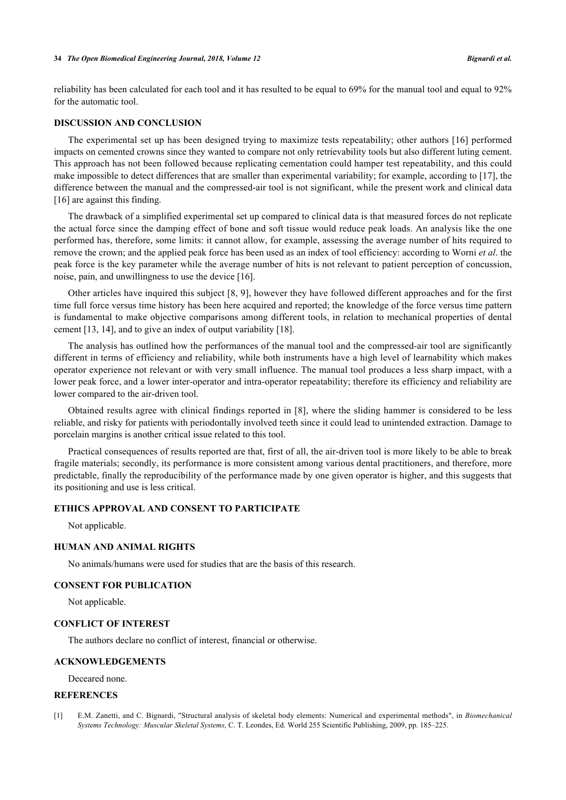#### **34** *The Open Biomedical Engineering Journal, 2018, Volume 12 Bignardi et al.*

reliability has been calculated for each tool and it has resulted to be equal to 69% for the manual tool and equal to 92% for the automatic tool.

## **DISCUSSION AND CONCLUSION**

The experimental set up has been designed trying to maximize tests repeatability; other authors [[16](#page-8-14)] performed impacts on cemented crowns since they wanted to compare not only retrievability tools but also different luting cement. This approach has not been followed because replicating cementation could hamper test repeatability, and this could make impossible to detect differences that are smaller than experimental variability; for example, according to [[17\]](#page-8-15), the difference between the manual and the compressed-air tool is not significant, while the present work and clinical data [\[16](#page-8-14)] are against this finding.

The drawback of a simplified experimental set up compared to clinical data is that measured forces do not replicate the actual force since the damping effect of bone and soft tissue would reduce peak loads. An analysis like the one performed has, therefore, some limits: it cannot allow, for example, assessing the average number of hits required to remove the crown; and the applied peak force has been used as an index of tool efficiency: according to Worni *et al*. the peak force is the key parameter while the average number of hits is not relevant to patient perception of concussion, noise, pain, and unwillingness to use the device [[16\]](#page-8-14).

Other articles have inquired this subject [[8,](#page-8-6) [9](#page-8-7)], however they have followed different approaches and for the first time full force versus time history has been here acquired and reported; the knowledge of the force versus time pattern is fundamental to make objective comparisons among different tools, in relation to mechanical properties of dental cement [\[13](#page-8-11), [14](#page-8-12)], and to give an index of output variability [\[18](#page-8-16)].

The analysis has outlined how the performances of the manual tool and the compressed-air tool are significantly different in terms of efficiency and reliability, while both instruments have a high level of learnability which makes operator experience not relevant or with very small influence. The manual tool produces a less sharp impact, with a lower peak force, and a lower inter-operator and intra-operator repeatability; therefore its efficiency and reliability are lower compared to the air-driven tool.

Obtained results agree with clinical findings reported in [\[8](#page-8-6)], where the sliding hammer is considered to be less reliable, and risky for patients with periodontally involved teeth since it could lead to unintended extraction. Damage to porcelain margins is another critical issue related to this tool.

Practical consequences of results reported are that, first of all, the air-driven tool is more likely to be able to break fragile materials; secondly, its performance is more consistent among various dental practitioners, and therefore, more predictable, finally the reproducibility of the performance made by one given operator is higher, and this suggests that its positioning and use is less critical.

### **ETHICS APPROVAL AND CONSENT TO PARTICIPATE**

Not applicable.

## **HUMAN AND ANIMAL RIGHTS**

No animals/humans were used for studies that are the basis of this research.

## **CONSENT FOR PUBLICATION**

Not applicable.

#### **CONFLICT OF INTEREST**

The authors declare no conflict of interest, financial or otherwise.

## **ACKNOWLEDGEMENTS**

Deceared none.

## **REFERENCES**

<span id="page-7-0"></span>[1] E.M. Zanetti, and C. Bignardi, "Structural analysis of skeletal body elements: Numerical and experimental methods", in *Biomechanical Systems Technology: Muscular Skeletal Systems,* C. T. Leondes, Ed. World 255 Scientific Publishing, 2009, pp. 185–225.